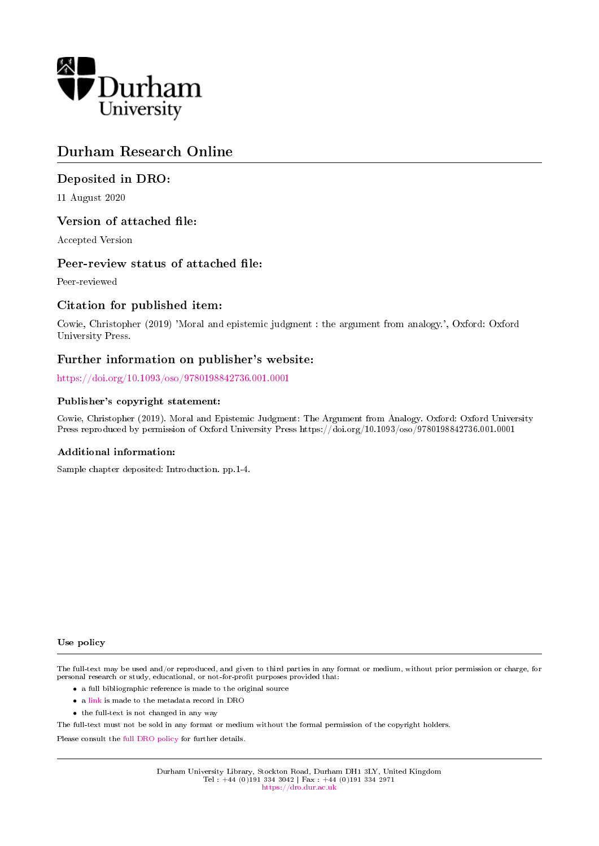

# Durham Research Online

### Deposited in DRO:

11 August 2020

### Version of attached file:

Accepted Version

### Peer-review status of attached file:

Peer-reviewed

### Citation for published item:

Cowie, Christopher (2019) 'Moral and epistemic judgment : the argument from analogy.', Oxford: Oxford University Press.

### Further information on publisher's website:

<https://doi.org/10.1093/oso/9780198842736.001.0001>

### Publisher's copyright statement:

Cowie, Christopher (2019). Moral and Epistemic Judgment: The Argument from Analogy. Oxford: Oxford University Press reproduced by permission of Oxford University Press https://doi.org/10.1093/oso/9780198842736.001.0001

### Additional information:

Sample chapter deposited: Introduction. pp.1-4.

#### Use policy

The full-text may be used and/or reproduced, and given to third parties in any format or medium, without prior permission or charge, for personal research or study, educational, or not-for-profit purposes provided that:

- a full bibliographic reference is made to the original source
- a [link](http://dro.dur.ac.uk/31496/) is made to the metadata record in DRO
- the full-text is not changed in any way

The full-text must not be sold in any format or medium without the formal permission of the copyright holders.

Please consult the [full DRO policy](https://dro.dur.ac.uk/policies/usepolicy.pdf) for further details.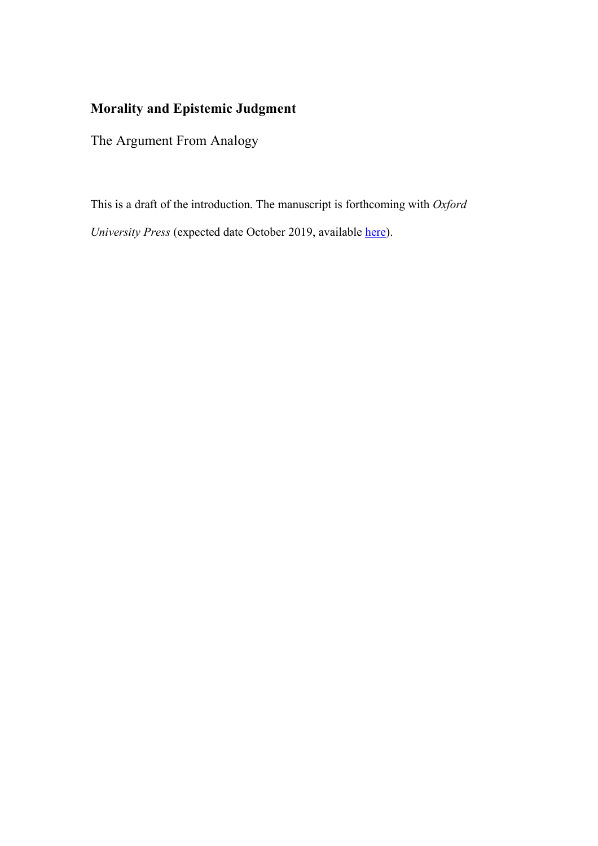# **Morality and Epistemic Judgment**

The Argument From Analogy

This is a draft of the introduction. The manuscript is forthcoming with *Oxford University Press* (expected date October 2019, available here).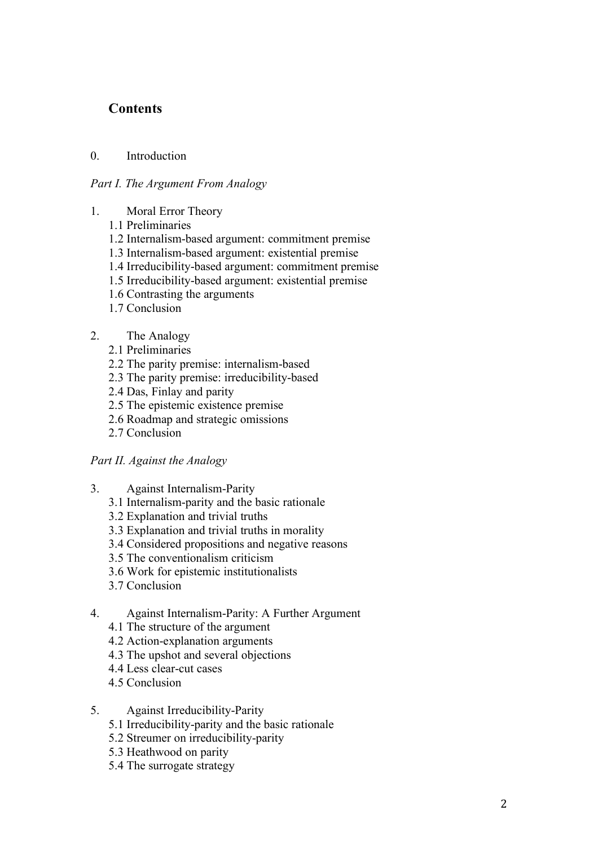## **Contents**

### 0. Introduction

### *Part I. The Argument From Analogy*

- 1. Moral Error Theory
	- 1.1 Preliminaries
	- 1.2 Internalism-based argument: commitment premise
	- 1.3 Internalism-based argument: existential premise
	- 1.4 Irreducibility-based argument: commitment premise
	- 1.5 Irreducibility-based argument: existential premise
	- 1.6 Contrasting the arguments
	- 1.7 Conclusion
- 2. The Analogy
	- 2.1 Preliminaries
	- 2.2 The parity premise: internalism-based
	- 2.3 The parity premise: irreducibility-based
	- 2.4 Das, Finlay and parity
	- 2.5 The epistemic existence premise
	- 2.6 Roadmap and strategic omissions
	- 2.7 Conclusion

### *Part II. Against the Analogy*

- 3. Against Internalism-Parity
	- 3.1 Internalism-parity and the basic rationale
	- 3.2 Explanation and trivial truths
	- 3.3 Explanation and trivial truths in morality
	- 3.4 Considered propositions and negative reasons
	- 3.5 The conventionalism criticism
	- 3.6 Work for epistemic institutionalists
	- 3.7 Conclusion
- 4. Against Internalism-Parity: A Further Argument
	- 4.1 The structure of the argument
	- 4.2 Action-explanation arguments
	- 4.3 The upshot and several objections
	- 4.4 Less clear-cut cases
	- 4.5 Conclusion
- 5. Against Irreducibility-Parity
	- 5.1 Irreducibility-parity and the basic rationale
	- 5.2 Streumer on irreducibility-parity
	- 5.3 Heathwood on parity
	- 5.4 The surrogate strategy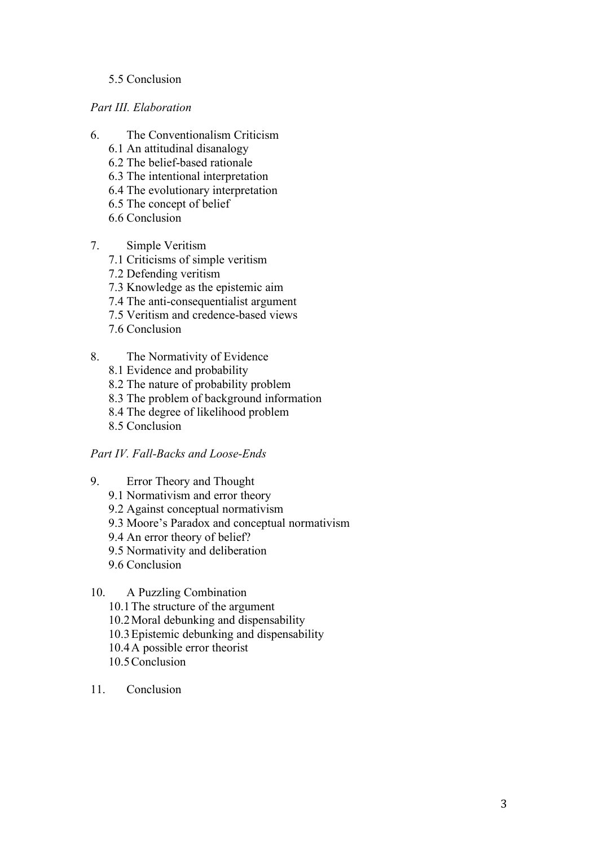### 5.5 Conclusion

*Part III. Elaboration*

- 6. The Conventionalism Criticism
	- 6.1 An attitudinal disanalogy
	- 6.2 The belief-based rationale
	- 6.3 The intentional interpretation
	- 6.4 The evolutionary interpretation
	- 6.5 The concept of belief
	- 6.6 Conclusion
- 7. Simple Veritism
	- 7.1 Criticisms of simple veritism
	- 7.2 Defending veritism
	- 7.3 Knowledge as the epistemic aim
	- 7.4 The anti-consequentialist argument
	- 7.5 Veritism and credence-based views
	- 7.6 Conclusion
- 8. The Normativity of Evidence
	- 8.1 Evidence and probability
	- 8.2 The nature of probability problem
	- 8.3 The problem of background information
	- 8.4 The degree of likelihood problem
	- 8.5 Conclusion

## *Part IV. Fall-Backs and Loose-Ends*

- 9. Error Theory and Thought
	- 9.1 Normativism and error theory
	- 9.2 Against conceptual normativism
	- 9.3 Moore's Paradox and conceptual normativism
	- 9.4 An error theory of belief?
	- 9.5 Normativity and deliberation
	- 9.6 Conclusion

# 10. A Puzzling Combination

- 10.1The structure of the argument
- 10.2Moral debunking and dispensability
- 10.3Epistemic debunking and dispensability
- 10.4A possible error theorist
- 10.5Conclusion
- 11. Conclusion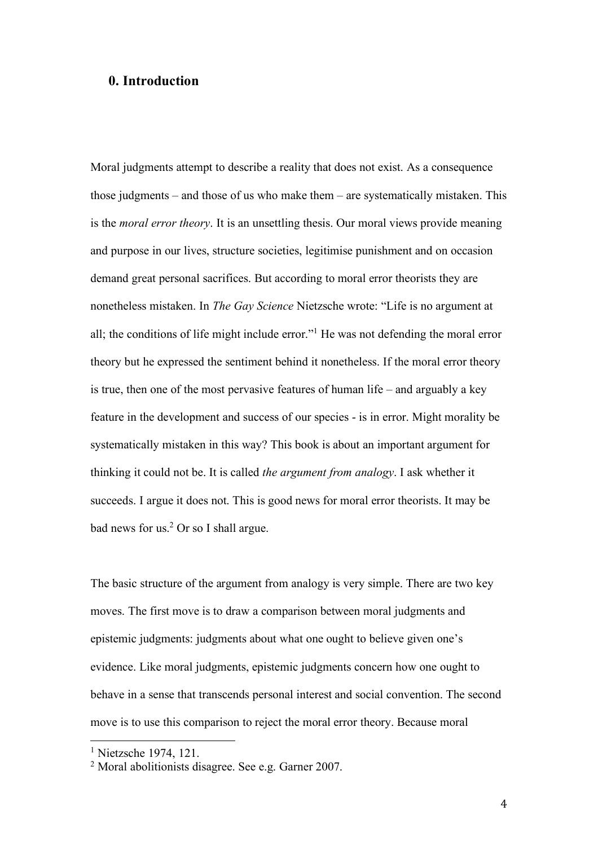## **0. Introduction**

Moral judgments attempt to describe a reality that does not exist. As a consequence those judgments – and those of us who make them – are systematically mistaken. This is the *moral error theory*. It is an unsettling thesis. Our moral views provide meaning and purpose in our lives, structure societies, legitimise punishment and on occasion demand great personal sacrifices. But according to moral error theorists they are nonetheless mistaken. In *The Gay Science* Nietzsche wrote: "Life is no argument at all; the conditions of life might include error."1 He was not defending the moral error theory but he expressed the sentiment behind it nonetheless. If the moral error theory is true, then one of the most pervasive features of human life – and arguably a key feature in the development and success of our species - is in error. Might morality be systematically mistaken in this way? This book is about an important argument for thinking it could not be. It is called *the argument from analogy*. I ask whether it succeeds. I argue it does not. This is good news for moral error theorists. It may be bad news for us.2 Or so I shall argue.

The basic structure of the argument from analogy is very simple. There are two key moves. The first move is to draw a comparison between moral judgments and epistemic judgments: judgments about what one ought to believe given one's evidence. Like moral judgments, epistemic judgments concern how one ought to behave in a sense that transcends personal interest and social convention. The second move is to use this comparison to reject the moral error theory. Because moral

<sup>1</sup> Nietzsche 1974, 121.

<sup>2</sup> Moral abolitionists disagree. See e.g. Garner 2007.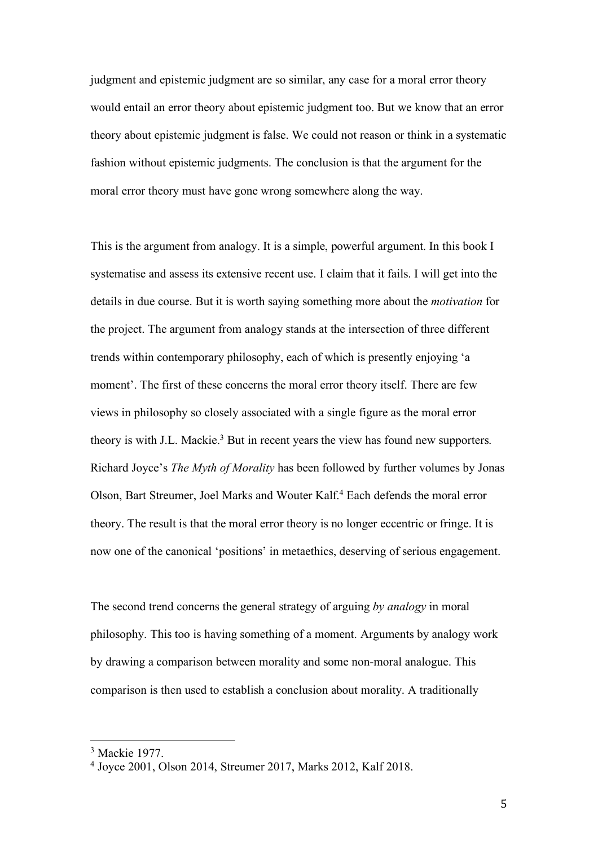judgment and epistemic judgment are so similar, any case for a moral error theory would entail an error theory about epistemic judgment too. But we know that an error theory about epistemic judgment is false. We could not reason or think in a systematic fashion without epistemic judgments. The conclusion is that the argument for the moral error theory must have gone wrong somewhere along the way.

This is the argument from analogy. It is a simple, powerful argument. In this book I systematise and assess its extensive recent use. I claim that it fails. I will get into the details in due course. But it is worth saying something more about the *motivation* for the project. The argument from analogy stands at the intersection of three different trends within contemporary philosophy, each of which is presently enjoying 'a moment'. The first of these concerns the moral error theory itself. There are few views in philosophy so closely associated with a single figure as the moral error theory is with J.L. Mackie.<sup>3</sup> But in recent years the view has found new supporters. Richard Joyce's *The Myth of Morality* has been followed by further volumes by Jonas Olson, Bart Streumer, Joel Marks and Wouter Kalf. <sup>4</sup> Each defends the moral error theory. The result is that the moral error theory is no longer eccentric or fringe. It is now one of the canonical 'positions' in metaethics, deserving of serious engagement.

The second trend concerns the general strategy of arguing *by analogy* in moral philosophy. This too is having something of a moment. Arguments by analogy work by drawing a comparison between morality and some non-moral analogue. This comparison is then used to establish a conclusion about morality. A traditionally

<sup>3</sup> Mackie 1977.

<sup>4</sup> Joyce 2001, Olson 2014, Streumer 2017, Marks 2012, Kalf 2018.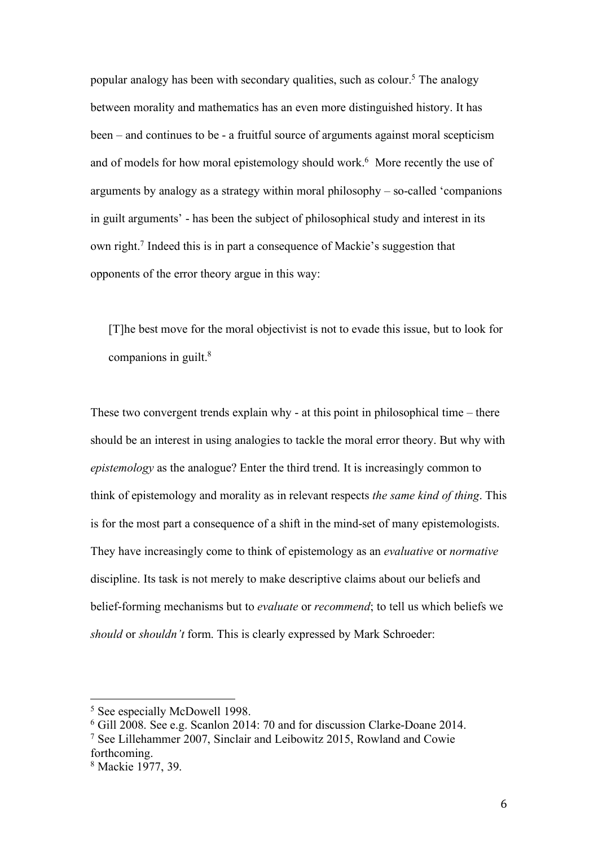popular analogy has been with secondary qualities, such as colour.<sup>5</sup> The analogy between morality and mathematics has an even more distinguished history. It has been – and continues to be - a fruitful source of arguments against moral scepticism and of models for how moral epistemology should work.<sup>6</sup> More recently the use of arguments by analogy as a strategy within moral philosophy – so-called 'companions in guilt arguments' - has been the subject of philosophical study and interest in its own right.7 Indeed this is in part a consequence of Mackie's suggestion that opponents of the error theory argue in this way:

[T]he best move for the moral objectivist is not to evade this issue, but to look for companions in guilt.<sup>8</sup>

These two convergent trends explain why - at this point in philosophical time – there should be an interest in using analogies to tackle the moral error theory. But why with *epistemology* as the analogue? Enter the third trend. It is increasingly common to think of epistemology and morality as in relevant respects *the same kind of thing*. This is for the most part a consequence of a shift in the mind-set of many epistemologists. They have increasingly come to think of epistemology as an *evaluative* or *normative* discipline. Its task is not merely to make descriptive claims about our beliefs and belief-forming mechanisms but to *evaluate* or *recommend*; to tell us which beliefs we *should* or *shouldn't* form. This is clearly expressed by Mark Schroeder:

<sup>5</sup> See especially McDowell 1998.

<sup>6</sup> Gill 2008. See e.g. Scanlon 2014: 70 and for discussion Clarke-Doane 2014.

<sup>7</sup> See Lillehammer 2007, Sinclair and Leibowitz 2015, Rowland and Cowie forthcoming.

<sup>8</sup> Mackie 1977, 39.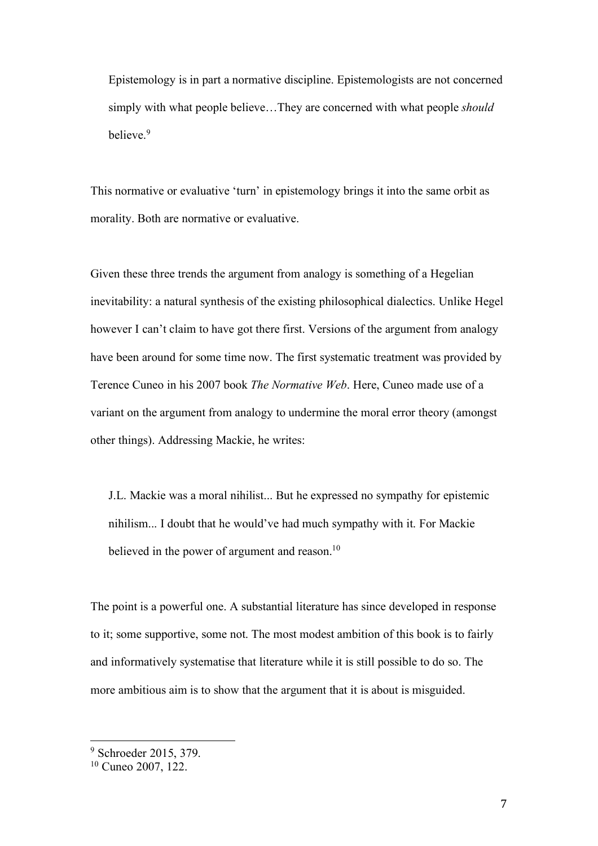Epistemology is in part a normative discipline. Epistemologists are not concerned simply with what people believe…They are concerned with what people *should* believe.<sup>9</sup>

This normative or evaluative 'turn' in epistemology brings it into the same orbit as morality. Both are normative or evaluative.

Given these three trends the argument from analogy is something of a Hegelian inevitability: a natural synthesis of the existing philosophical dialectics. Unlike Hegel however I can't claim to have got there first. Versions of the argument from analogy have been around for some time now. The first systematic treatment was provided by Terence Cuneo in his 2007 book *The Normative Web*. Here, Cuneo made use of a variant on the argument from analogy to undermine the moral error theory (amongst other things). Addressing Mackie, he writes:

J.L. Mackie was a moral nihilist... But he expressed no sympathy for epistemic nihilism... I doubt that he would've had much sympathy with it. For Mackie believed in the power of argument and reason.<sup>10</sup>

The point is a powerful one. A substantial literature has since developed in response to it; some supportive, some not. The most modest ambition of this book is to fairly and informatively systematise that literature while it is still possible to do so. The more ambitious aim is to show that the argument that it is about is misguided.

<sup>9</sup> Schroeder 2015, 379.

 $10$  Cuneo 2007,  $122$ .